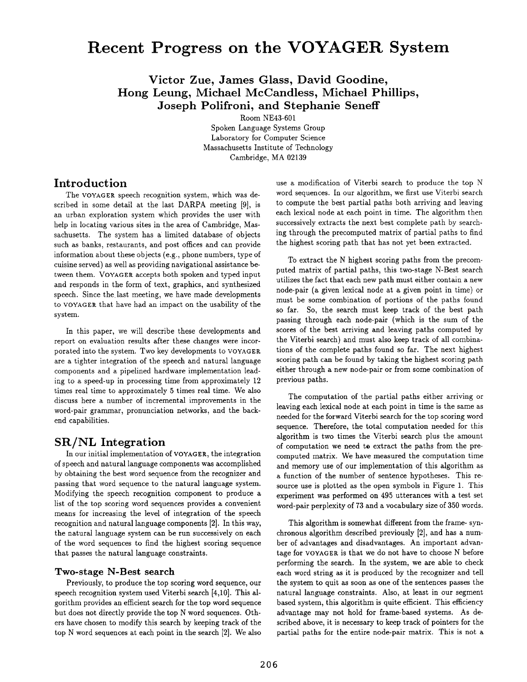# **Recent Progress on the VOYAGER System**

**Victor Zue, James Glass, David Goodine, Hong Leung, Michael McCandless, Michael Phillips, Joseph Polifroni, and Stephanie Seneff** 

> Room NE43-601 Spoken Language Systems Group Laboratory for Computer Science Massachusetts Institute of Technology

> > Cambridge, MA 02139

# **Introduction**

The VOYAGER speech recognition system, which was described in some detail at the last DARPA meeting [9], is an urban exploration system which provides the user with help in locating various sites in the area of Cambridge, Massachusetts. The system has a limited database of objects such as banks, restaurants, and post offices and can provide information about these objects (e.g., phone numbers, type of cuisine served) as well as providing navigational assistance between them. VOYAGER accepts both spoken and typed input and responds in the form of text, graphics, and synthesized speech. Since the last meeting, we have made developments to VOYAGER that have had an impact on the usability of the system.

In this paper, we will describe these developments and report on evaluation results after these changes were incorporated into the system. Two key developments to VOYAGER are a tighter integration of the speech and natural language components and a pipelined hardware implementation leading to a speed-up in processing time from approximately 12 times real time to approximately 5 times real time. We also discuss here a number of incremental improvements in the word-pair grammar, pronunciation networks, and the backend capabilities.

### **SR/NL Integration**

In our initial implementation of VOYAGER, the integration of speech and natural language components was accomplished by obtaining the best word sequence from the recognizer and passing that word sequence to the natural language system. Modifying the speech recognition component to produce a list of the top scoring word sequences provides a convenient means for increasing the level of integration of the speech recognition and natural language components [2]. In this way, the natural language system can be run successively on each of the word sequences to find the highest scoring sequence that passes the natural language constraints.

#### **Two-stage N-Best search**

Previously, to produce the top scoring word sequence, our speech recognition system used Viterbi search [4,10]. This algorithm provides an efficient search for the top word sequence but does not directly provide the top N word sequences. Others have chosen to modify this search by keeping track of the top N word sequences at each point in the search [2]. We also use a modification of Viterbi search to produce the top N word sequences. In our algorithm, we first use Viterbi search to compute the best partial paths both arriving and leaving each lexical node at each point in time. The algorithm then successively extracts the next best complete path by searching through the precomputed matrix of partial paths to find the highest scoring path that has not yet been extracted.

To extract the N highest scoring paths from the precomputed matrix of partial paths, this two-stage N-Best search utilizes the fact that each new path must either contain a new node-pair (a given lexical node at a given point in time) or must be some combination of portions of the paths found so far. So, the search must keep track of the best path passing through each node-pair (which is the sum of the scores of the best arriving and leaving paths computed by the Viterbi search) and must also keep track of all combinations of the complete paths found so far. The next highest scoring path can be found by taking the highest scoring path either through a new node-pair or from some combination of previous paths.

The computation of the partial paths either arriving or leaving each lexical node at each point in time is the same as needed for the forward Viterbi search for the top scoring word sequence. Therefore, the total computation needed for this algorithm is two times the Viterbi search plus the amount of computation we need to extract the paths from the precomputed matrix. We have measured the computation time and memory use of our implementation of this algorithm as a function of the number of sentence hypotheses. This resource use is plotted as the open symbols in Figure 1. This experiment was performed on 495 utterances with a test set word-pair perplexity of 73 and a vocabulary size of 350 words.

This algorithm is somewhat different from the frame- synchronous algorithm described previously [2], and has a number of advantages and disadvantages. An important advantage for VOYAGER is that we do not have to choose N before performing the search. In the system, we are able to check each word string as it is produced by the recognizer and tell the system to quit as soon as one of the sentences passes the natural language constraints. Also, at least in our segment based system, this algorithm is quite efficient. This efficiency advantage may not hold for frame-based systems. As described above, it is necessary to keep track of pointers for the partial paths for the entire node-pair matrix. This is not a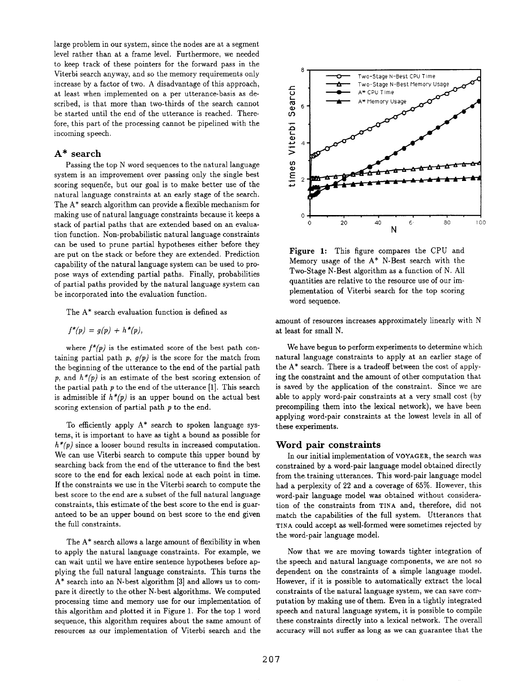large problem in our system, since the nodes are at a segment level rather than at a frame level. Furthermore, we needed to keep track of these pointers for the forward pass in the Viterbi search anyway, and so the memory requirements only increase by a factor of two. A disadvantage of this approach, at least when implemented on a per utterance-basis as described, is that more than two-thirds of the search cannot be started until the end of the utterance is reached. Therefore, this part of the processing cannot be pipelined with the incoming speech.

#### **A\* search**

Passing the top N word sequences to the natural language system is an improvement over passing only the single best scoring sequence, but our goal is to make better use of the natural language constraints at an early stage of the search. The  $A^*$  search algorithm can provide a flexible mechanism for making use of natural language constraints because it keeps a stack of partial paths that are extended based on an evaluation function. Non-probabilistic natural language constraints can be used to prune partial hypotheses either before they are put on the stack or before they are extended. Prediction capability of the natural language system can be used to propose ways of extending partial paths. Finally, probabilities of partial paths provided by the natural language system can be incorporated into the evaluation function.

The A\* search evaluation function is defined as

$$
f^*(p) = g(p) + h^*(p),
$$

where  $f^*(p)$  is the estimated score of the best path containing partial path  $p$ ,  $g(p)$  is the score for the match from the beginning of the utterance to the end of the partial path p, and  $h^*(p)$  is an estimate of the best scoring extension of the partial path  $p$  to the end of the utterance [1]. This search is admissible if  $h^*(p)$  is an upper bound on the actual best scoring extension of partial path p to the end.

To efficiently apply A\* search to spoken language systems, it is important to have as tight a bound as possible for  $h^*(p)$  since a looser bound results in increased computation. We can use Viterbi search to compute this upper bound by searching back from the end of the utterance to find the best score to the end for each lexical node at each point in time. If the constraints we use in the Viterbi search to compute the best score to the end are a subset of the full natural language constraints, this estimate of the best score to the end is guaranteed to be an upper bound on best score to the end given the full constraints.

The  $A^*$  search allows a large amount of flexibility in when to apply the natural language constraints. For example, we can wait until we have entire sentence hypotheses before applying the full natural language constraints. This turns the A\* search into an N-best algorithm [3] and allows us to compare it directly to the other N-best algorithms. We computed processing time and memory use for our implementation of this algorithm and plotted it in Figure 1. For the top 1 word sequence, this algorithm requires about the same amount of resources as our implementation of Viterbi search and the



Figure 1: This figure compares the CPU and Memory usage of the A\* N-Best search with the Two-Stage N-Best algorithm as a function of N. All quantities are relative to the resource use of our implementation of Viterbi search for the top scoring word sequence.

amount of resources increases approximately linearly with N at least for small N.

We have begun to perform experiments to determine which natural language constraints to apply at an earlier stage of the A\* search. There is a tradeoff between the cost of applying the constraint and the amount of other computation that is saved by the application of the constraint. Since we are able to apply word-pair constraints at a very small cost (by precompiling them into the lexical network), we have been applying word-pair constraints at the lowest levels in all of these experiments.

#### **Word pair constraints**

In our initial implementation of VOYAGER, the search was constrained by a word-pair language model obtained directly from the training utterances. This word-pair language model had a perplexity of 22 and a coverage of 65%. However, this word-pair language model was obtained without consideration of the constraints from TINA and, therefore, did not match the capabilities of the full system. Utterances that TINA could accept as well-formed were sometimes rejected by the word-pair language model.

Now that we are moving towards tighter integration of the speech and natural language components, we are not so dependent on the constraints of a simple language model. However, if it is possible to automatically extract the local constraints of the natural language system, we can save computation by making use of them. Even in a tightly integrated speech and natural language system, it is possible to compile these constraints directly into a lexical network. The overall accuracy will not suffer as long as we can guarantee that the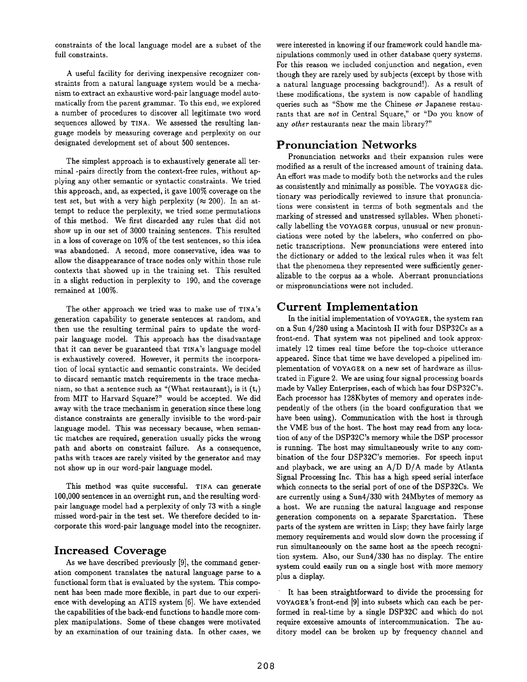constraints of the local language model are a subset of the full constraints.

A useful facility for deriving inexpensive recognizer constraints from a natural language system would be a mechanism to extract an exhaustive word-pair language model automatically from the parent grammar. To this end, we explored a number of procedures to discover all legitimate two word sequences allowed by TINA. We assessed the resulting language models by measuring coverage and perplexity on our designated development set of about 500 sentences.

The simplest approach is to exhaustively generate all terminal -pairs directly from the context-free rules, without applying any other semantic or syntactic constraints. We tried this approach, and, as expected, it gave 100% coverage on the test set, but with a very high perplexity ( $\approx 200$ ). In an attempt to reduce the perplexity, we tried some permutations of this method. We first discarded any rules that did not show up in our set of 3000 training sentences. This resulted in a loss of coverage on 10% of the test sentences, so this idea was abandoned. A second, more conservative, idea was to allow the disappearance of trace nodes only within those rule contexts that showed up in the training set. This resulted in a slight reduction in perplexity to 190, and the coverage remained at 100%.

The other approach we tried was to make use of TINA'S generation capability to generate sentences at random, and then use the resulting terminal pairs to update the wordpair language model. This approach has the disadvantage that it can never be guaranteed that TINA's language model is exhaustively covered. However, it permits the incorporation of local syntactic and semantic constraints. We decided to discard semantic match requirements in the trace mechanism, so that a sentence such as "(What restaurant), is it  $(t_i)$ from MIT to Harvard Square?" would be accepted. We did away with the trace mechanism in generation since these long distance constraints are generally invisible to the word-pair language model. This was necessary because, when semantic matches are required, generation usually picks the wrong path and aborts on constraint failure. As a consequence, paths with traces are rarely visited by the generator and may not show up in our word-pair language model.

This method was quite successful. TINA can generate 100,000 sentences in an overnight run, and the resulting wordpair language model had a perplexity of only 73 with a single missed word-pair in the test set. We therefore decided to incorporate this word-pair language model into the recognizer.

### **Increased Coverage**

As we have described previously [9], the command generation component translates the natural language parse to a functional form that is evaluated by the system. This component has been made more flexible, in part due to our experience with developing an ATIS system [6]. We have extended the capabilities of the back-end functions to handle more complex manipulations. Some of these changes were motivated by an examination of our training data. In other cases, we were interested in knowing if our framework could handle manipulations commonly used in other database query systems. For this reason we included conjunction and negation, even though they are rarely used by subjects (except by those with a natural language processing background!). As a result of these modifications, the system is now capable of handling queries such as "Show me the Chinese or Japanese restaurants that are *not* in Central Square," or "Do you know of any *other* restaurants near the main library?"

### **Pronunciation Networks**

Pronunciation networks and their expansion rules were modified as a result of the increased amount of training data. An effort was made to modify both the networks and the rules as consistently and minimally as possible. The VOYAGER dictionary was periodically reviewed to insure that pronunciations were consistent in terms of both segmentals and the marking of stressed and unstressed syllables. When phonetically labelling the VOYAGER corpus, unusual or new pronunciations were noted by the labelers, who conferred on phonetic transcriptions. New pronunciations were entered into the dictionary or added to the lexical rules when it was felt that the phenomena they represented were sufficiently generalizable to the corpus as a whole. Aberrant pronunciations or mispronunciations were not included.

# **Current Implementation**

In the initial implementation of VOYAGER, the system ran on a Sun 4/280 using a Macintosh II with four DSP32Cs as a front-end. That system was not pipelined and took approximately 12 times real time before the top-choice utterance appeared. Since that time we have developed a pipelined implementation of VOYAGER on a new set of hardware as illustrated in Figure 2. We are using four signal processing boards made by Valley Enterprises, each of which has four DSP32C's. Each processor has 128Kbytes of memory and operates independently of the others (in the board configuration that we have been using). Communication with the host is through the VME bus of the host. The host may read from any location of any of the DSP32C's memory while the DSP processor is running. The host may simultaneously write to any combination of the four DSP32C's memories. For speech input and playback, we are using an A/D D/A made by Atlanta Signal Processing Inc. This has a high speed serial interface which connects to the serial port of one of the DSP32Cs. We are currently using a Sun4/330 with 24Mbytes of memory as a host. We are running the natural language and response generation components on a separate Sparcstation. These parts of the system are written in Lisp; they have fairly large memory requirements and would slow down the processing if run simultaneously on the same host as the speech recognition system. Also, our Sun4/330 has no display. The entire system could easily run on a single host with more memory plus a display.

It has been straightforward to divide the processing for VOYAGER's front-end [9] into subsets which can each be performed in real-time by a single DSP32C and which do not require excessive amounts of intercommunication. The auditory model can be broken up by frequency channel and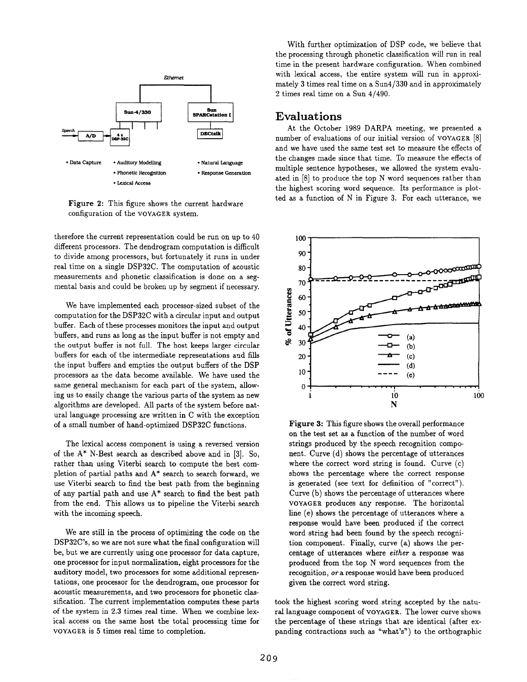

Figure 2: This figure shows the current hardware configuration of the VOYAGER system.

therefore the current representation could be run on up to 40 different processors. The dendrogram computation is difficult to divide among processors, but fortunately it runs in under real time on a single DSP32C. The computation of acoustic measurements and phonetic classification is done on a segmental basis and could be broken up by segment if necessary.

We have implemented each processor-sized subset of the computation for the DSP32C with a circular input and output buffer. Each of these processes monitors the input and output buffers, and runs as long as the input buffer is not empty and the output buffer is not full. The host keeps larger circular buffers for each of the intermediate representations aud fills the input buffers and empties the output buffers of the DSP processors as the data become available. We have used the same general mechanism for each part of the system, allowing us to easily change the various parts of the system as new algorithms are developed. All parts of the system before natural language processing are written in C with the exception of a small number of hand-optimized DSP32C functions.

The lexical access component is using a reversed version of the A\* N-Best search as described above and in [3]. So, rather than using Viterbi search to compute the best completion of partial paths and A\* search to search forward, we use Viterbi search to find the best path from the beginning of any partial path and use A\* search to find the best path from the end. This allows us to pipeline the Viterbi search with the incoming speech.

We are still in the process of optimizing the code on the DSP32C's, so we are not sure what the final configuration will be, but we are currently using one processor for data capture, one processor for input normalization, eight processors for the auditory model, two processors for some additional representations, one processor for the dendrogram, one processor for acoustic measurements, and two processors for phonetic classification. The current implementation computes these parts of the system in 2.3 times real time. When we combine lexical access on the same host the total processing time for VOYAGER is 5 times real time to completion.

With further optimization of DSP code, we believe that the processing through phonetic classification will run in real time in the present hardware configuration. When combined with lexical access, the entire system will run in approximately 3 times real time on a Sun4/330 and in approximately 2 times real time on a Sun 4/490.

#### **Evaluations**

At the October 1989 DARPA meeting, we presented a number of evaluations of our initial version of VOYAGER [8] and we have used the same test set to measure the effects of the changes made since that time. To measure the effects of multiple sentence hypotheses, we allowed the system evaluated in [8] to produce the top N word sequences rather than the highest scoring word sequence. Its performance is plotted as a function of N in Figure 3. For each utterance, we



Figure 3: This figure shows the overall performance on the test set as a function of the number of word strings produced by the speech recognition component. Curve (d) shows the percentage of utterances where the correct word string is found. Curve (c) shows the percentage where the correct response is generated (see text for definition of "correct"). Curve (b) shows the percentage of utterances where VOYAGER produces any response. The horizontal line (e) shows the percentage of utterances where a response would have been produced if the correct word string had been found by the speech recognition component. Finally, curve (a) shows the percentage of utterances where *either* a response was produced from the top N word sequences from the recognition, or a response would have been produced given the correct word string.

took the highest scoring word string accepted by the natural language component of VOYAGER. The lower curve shows the percentage of these strings that are identical (after expanding contractions such as "what's") to the orthographic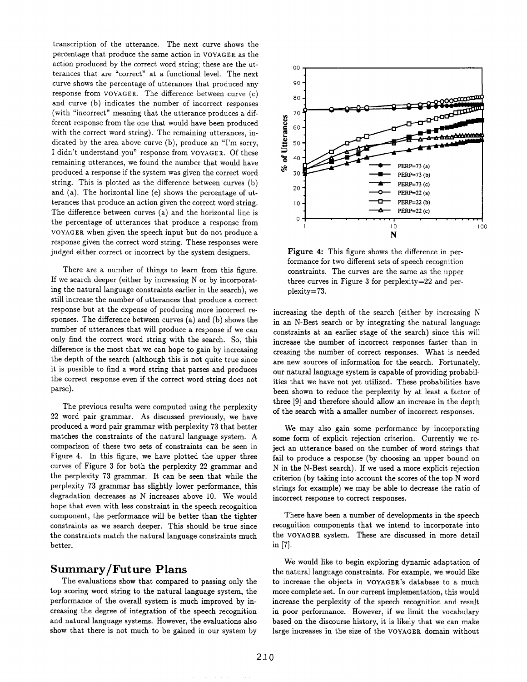transcription of the utterance. The next curve shows the percentage that produce the same action in VOYAGER as the action produced by the correct word string; these are the utterances that are "correct" at a functional level. The next curve shows the percentage of utterances that produced any response from VOYAGER. The difference between curve (c) and curve (b) indicates the number of incorrect responses (with "incorrect" meaning that the utterance produces a different response from the one that would have been produced with the correct word string). The remaining utterances, indicated by the area above curve (b), produce an "I'm sorry, I didn't understand you" response from VOYAGER. Of these remaining utterances, we found the number that would have produced a response if the system was given the correct word string. This is plotted as the difference between curves (b) and (a). The horizontal line (e) shows the percentage of utterances that produce an action given the correct word string. The difference between curves (a) and the horizontal line is the percentage of utterances that produce a response from VOYAGER when given the speech input but do not produce a response given the correct word string. These responses were judged either correct or incorrect by the system designers.

There are a number of things to learn from this figure. If we search deeper (either by increasing N or by incorporating the natural language constraints earlier in the search), we still increase the number of utterances that produce a correct response but at the expense of producing more incorrect responses. The difference between curves (a) and (b) shows the number of utterances that will produce a response if we can only find the correct word string with the search. So, this difference is the most that we can hope to gain by increasing the depth of the search (although this is not quite true since it is possible to find a word string that parses and produces the correct response even if the correct word string does not parse).

The previous results were computed using the perplexity 22 word pair grammar. As discussed previously, we have produced a word pair grammar with perplexity 73 that better matches the constraints of the natural language system. A comparison of these two sets of constraints can be seen in Figure 4. In this figure, we have plotted the upper three curves of Figure 3 for both the perplexity 22 grammar and the perplexity 73 grammar. It can be seen that while the perplexity 73 grammar has slightly lower performance, this degradation decreases as N increases above 10. We would hope that even with less constraint in the speech recognition component, the performance will be better than the tighter constraints as we search deeper. This should be true since the constraints match the natural language constraints much better.

#### **Summary/Future Plans**

The evaluations show that compared to passing only the top scoring word string to the natural language system, the performance of the overall system is much improved by increasing the degree of integration of the speech recognition and natural language systems. However, the evaluations also show that there is not much to be gained in our system by



Figure 4: This figure shows the difference in performance for two different sets of speech recognition constraints. The curves are the same as the upper three curves in Figure 3 for perplexity=22 and perplexity=73.

increasing the depth of the search (either by increasing N in an N-Best search or by integrating the natural language constraints at an earlier stage of the search) since this will increase the number of incorrect responses faster than increasing the number of correct responses. What is needed are new sources of information for the search. Fortunately, our natural language system is capable of providing probabilities that we have not yet utilized. These probabilities have been shown to reduce the perplexity by at least a factor of three [9] and therefore should allow an increase in the depth of the search with a smaller number of incorrect responses.

We may also gain some performance by incorporating some form of explicit rejection criterion. Currently we reject an utterance based on the number of word strings that fail to produce a response (by choosing an upper bound on N in the N-Best search). If we used a more explicit rejection criterion (by taking into account the scores of the top N word strings for example) we may be able to decrease the ratio of incorrect response to correct responses.

There have been a number of developments in the speech recognition components that we intend to incorporate into the VOYAGER system. These are discussed in more detail in [7].

We would like to begin exploring dynamic adaptation of the natural language constraints. For example, we would like to increase the objects in VOYAGER's database to a much more complete set. In our current implementation, this would increase the perplexity of the speech recognition and result in poor performance. However, if we limit the vocabulary based on the discourse history, it is likely that we can make large increases in the size of the VOYAGER domain without